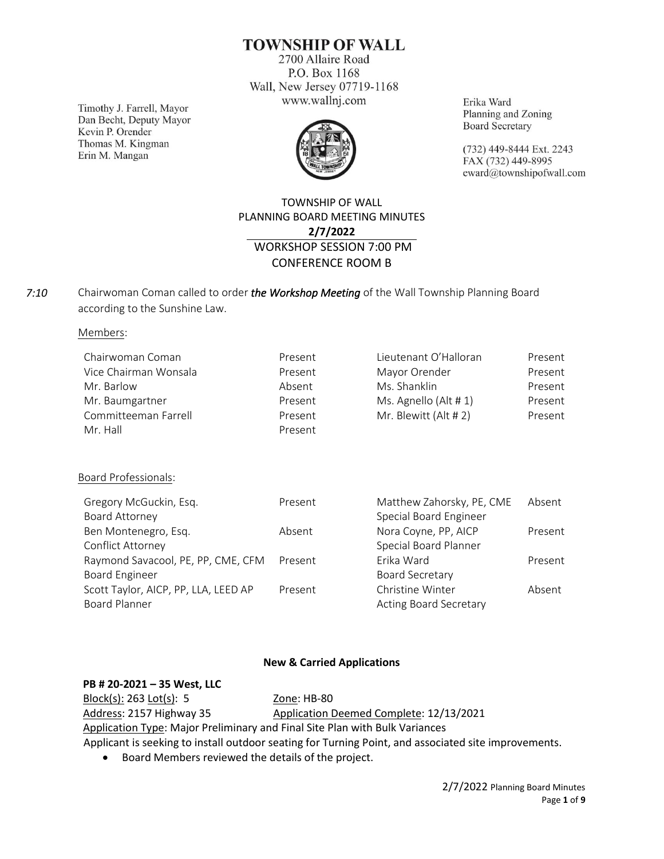**TOWNSHIP OF WALL** 

2700 Allaire Road P.O. Box 1168 Wall, New Jersey 07719-1168 www.wallnj.com

Timothy J. Farrell, Mayor Dan Becht, Deputy Mayor Kevin P. Orender Thomas M. Kingman Erin M. Mangan



Erika Ward Planning and Zoning **Board Secretary** 

(732) 449-8444 Ext. 2243 FAX (732) 449-8995 eward@townshipofwall.com

# TOWNSHIP OF WALL PLANNING BOARD MEETING MINUTES **2/7/2022** WORKSHOP SESSION 7:00 PM CONFERENCE ROOM B

Chairwoman Coman called to order *the Workshop Meeting* of the Wall Township Planning Board according to the Sunshine Law. *7:10*

Members:

| Chairwoman Coman      | Present | Lieutenant O'Halloran | Present |
|-----------------------|---------|-----------------------|---------|
| Vice Chairman Wonsala | Present | Mayor Orender         | Present |
| Mr. Barlow            | Absent  | Ms. Shanklin          | Present |
| Mr. Baumgartner       | Present | Ms. Agnello (Alt # 1) | Present |
| Committeeman Farrell  | Present | Mr. Blewitt (Alt # 2) | Present |
| Mr. Hall              | Present |                       |         |

Board Professionals:

| Present | Matthew Zahorsky, PE, CME     | Absent  |
|---------|-------------------------------|---------|
|         | Special Board Engineer        |         |
| Absent  | Nora Coyne, PP, AICP          | Present |
|         | Special Board Planner         |         |
| Present | Frika Ward                    | Present |
|         | Board Secretary               |         |
| Present | Christine Winter              | Absent  |
|         | <b>Acting Board Secretary</b> |         |
|         |                               |         |

## **New & Carried Applications**

#### **PB # 20-2021 – 35 West, LLC**

Block(s): 263 Lot(s): 5 Zone: HB-80

Address: 2157 Highway 35 Application Deemed Complete: 12/13/2021

Application Type: Major Preliminary and Final Site Plan with Bulk Variances

Applicant is seeking to install outdoor seating for Turning Point, and associated site improvements.

• Board Members reviewed the details of the project.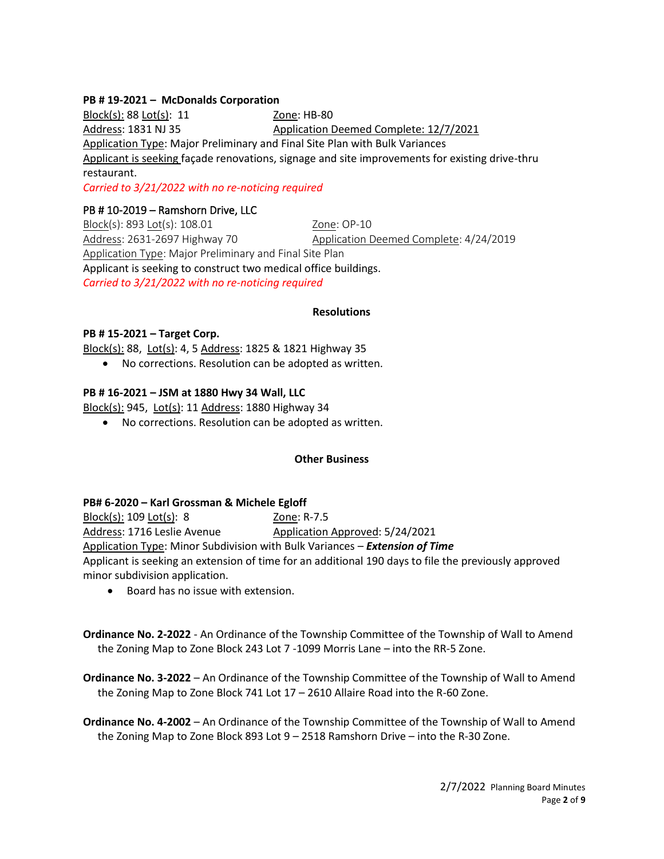## **PB # 19-2021 – McDonalds Corporation**

Block(s): 88 Lot(s): 11 Zone: HB-80 Address: 1831 NJ 35 Application Deemed Complete: 12/7/2021 Application Type: Major Preliminary and Final Site Plan with Bulk Variances Applicant is seeking façade renovations, signage and site improvements for existing drive-thru restaurant.

*Carried to 3/21/2022 with no re-noticing required*

## PB # 10-2019 – Ramshorn Drive, LLC

Block(s): 893 Lot(s): 108.01 20ne: OP-10 Address: 2631-2697 Highway 70 Application Deemed Complete: 4/24/2019 Application Type: Major Preliminary and Final Site Plan Applicant is seeking to construct two medical office buildings. *Carried to 3/21/2022 with no re-noticing required*

#### **Resolutions**

#### **PB # 15-2021 – Target Corp.**

Block(s): 88, Lot(s): 4, 5 Address: 1825 & 1821 Highway 35

• No corrections. Resolution can be adopted as written.

## **PB # 16-2021 – JSM at 1880 Hwy 34 Wall, LLC**

Block(s): 945, Lot(s): 11 Address: 1880 Highway 34

• No corrections. Resolution can be adopted as written.

## **Other Business**

#### **PB# 6-2020 – Karl Grossman & Michele Egloff**

Block(s): 109 Lot(s): 8 Zone: R-7.5 Address: 1716 Leslie Avenue Application Approved: 5/24/2021 Application Type: Minor Subdivision with Bulk Variances – *Extension of Time* Applicant is seeking an extension of time for an additional 190 days to file the previously approved minor subdivision application.

• Board has no issue with extension.

**Ordinance No. 2-2022** - An Ordinance of the Township Committee of the Township of Wall to Amend the Zoning Map to Zone Block 243 Lot 7 -1099 Morris Lane – into the RR-5 Zone.

**Ordinance No. 3-2022** – An Ordinance of the Township Committee of the Township of Wall to Amend the Zoning Map to Zone Block 741 Lot 17 – 2610 Allaire Road into the R-60 Zone.

**Ordinance No. 4-2002** – An Ordinance of the Township Committee of the Township of Wall to Amend the Zoning Map to Zone Block 893 Lot 9 – 2518 Ramshorn Drive – into the R-30 Zone.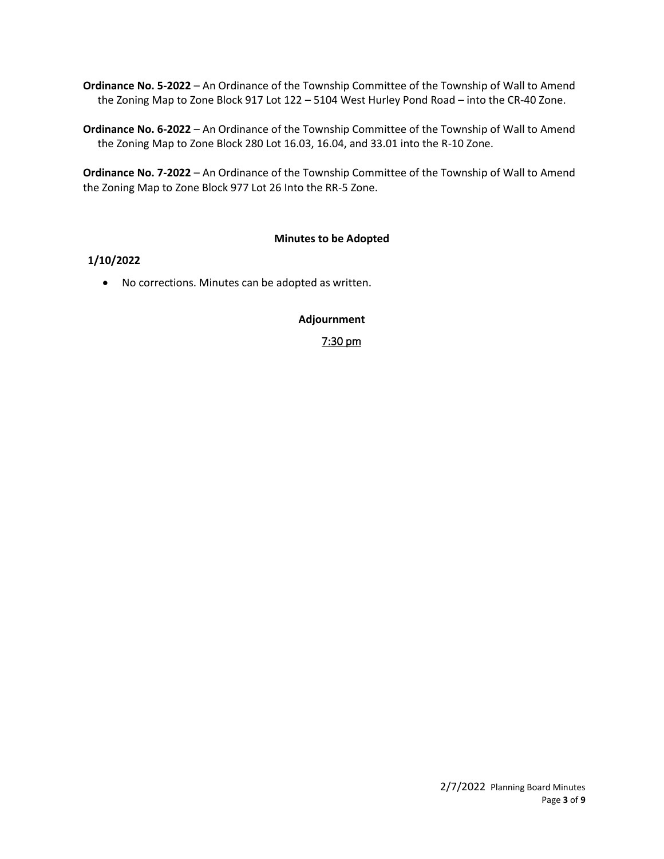**Ordinance No. 5-2022** – An Ordinance of the Township Committee of the Township of Wall to Amend the Zoning Map to Zone Block 917 Lot 122 – 5104 West Hurley Pond Road – into the CR-40 Zone.

**Ordinance No. 6-2022** – An Ordinance of the Township Committee of the Township of Wall to Amend the Zoning Map to Zone Block 280 Lot 16.03, 16.04, and 33.01 into the R-10 Zone.

**Ordinance No. 7-2022** – An Ordinance of the Township Committee of the Township of Wall to Amend the Zoning Map to Zone Block 977 Lot 26 Into the RR-5 Zone.

## **Minutes to be Adopted**

## **1/10/2022**

• No corrections. Minutes can be adopted as written.

## **Adjournment**

7:30 pm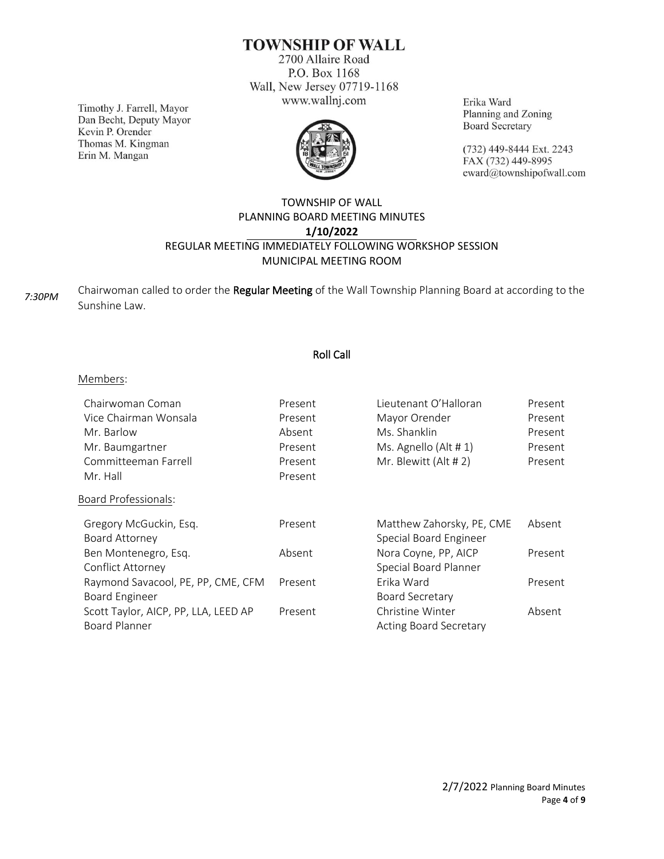# **TOWNSHIP OF WALL**

2700 Allaire Road P.O. Box 1168 Wall, New Jersey 07719-1168 www.wallnj.com

Timothy J. Farrell, Mayor Dan Becht, Deputy Mayor Kevin P. Orender Thomas M. Kingman Erin M. Mangan



Erika Ward Planning and Zoning **Board Secretary** 

(732) 449-8444 Ext. 2243 FAX (732) 449-8995 eward@townshipofwall.com

## TOWNSHIP OF WALL PLANNING BOARD MEETING MINUTES **1/10/2022** REGULAR MEETING IMMEDIATELY FOLLOWING WORKSHOP SESSION MUNICIPAL MEETING ROOM

Chairwoman called to order the Regular Meeting of the Wall Township Planning Board at according to the Sunshine Law. *7:30PM*

## Roll Call

#### Members:

| Chairwoman Coman                     | Present | Lieutenant O'Halloran         | Present |
|--------------------------------------|---------|-------------------------------|---------|
| Vice Chairman Wonsala                | Present | Mayor Orender                 | Present |
| Mr. Barlow                           | Absent  | Ms. Shanklin                  | Present |
| Mr. Baumgartner                      | Present | Ms. Agnello (Alt # 1)         | Present |
| Committeeman Farrell                 | Present | Mr. Blewitt (Alt # 2)         | Present |
| Mr. Hall                             | Present |                               |         |
| <b>Board Professionals:</b>          |         |                               |         |
| Gregory McGuckin, Esq.               | Present | Matthew Zahorsky, PE, CME     | Absent  |
| Board Attorney                       |         | Special Board Engineer        |         |
| Ben Montenegro, Esq.                 | Absent  | Nora Coyne, PP, AICP          | Present |
| Conflict Attorney                    |         | Special Board Planner         |         |
| Raymond Savacool, PE, PP, CME, CFM   | Present | Erika Ward                    | Present |
| <b>Board Engineer</b>                |         | <b>Board Secretary</b>        |         |
| Scott Taylor, AICP, PP, LLA, LEED AP | Present | Christine Winter              | Absent  |
| <b>Board Planner</b>                 |         | <b>Acting Board Secretary</b> |         |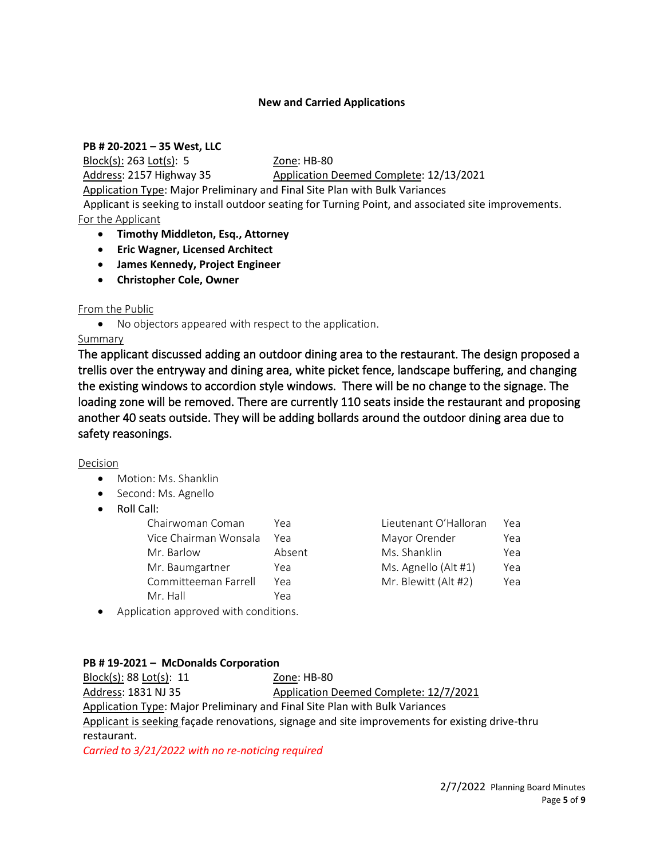## **New and Carried Applications**

## **PB # 20-2021 – 35 West, LLC**

Block(s): 263 Lot(s): 5 Zone: HB-80

Address: 2157 Highway 35 Application Deemed Complete: 12/13/2021

Application Type: Major Preliminary and Final Site Plan with Bulk Variances

 Applicant is seeking to install outdoor seating for Turning Point, and associated site improvements. For the Applicant

- **Timothy Middleton, Esq., Attorney**
- **Eric Wagner, Licensed Architect**
- **James Kennedy, Project Engineer**
- **Christopher Cole, Owner**

## From the Public

• No objectors appeared with respect to the application.

## Summary

The applicant discussed adding an outdoor dining area to the restaurant. The design proposed a trellis over the entryway and dining area, white picket fence, landscape buffering, and changing the existing windows to accordion style windows. There will be no change to the signage. The loading zone will be removed. There are currently 110 seats inside the restaurant and proposing another 40 seats outside. They will be adding bollards around the outdoor dining area due to safety reasonings.

## Decision

- Motion: Ms. Shanklin
- Second: Ms. Agnello
- Roll Call:

| Chairwoman Coman      | Yea    | Lieutenant O'Halloran | Yea |
|-----------------------|--------|-----------------------|-----|
| Vice Chairman Wonsala | Үеа    | Mayor Orender         | Yea |
| Mr. Barlow            | Absent | Ms. Shanklin          | Yea |
| Mr. Baumgartner       | Yea    | Ms. Agnello (Alt #1)  | Yea |
| Committeeman Farrell  | Yea    | Mr. Blewitt (Alt #2)  | Yea |
| Mr. Hall              | Yea    |                       |     |
|                       |        |                       |     |

| Lieutenant O'Halloran | Yea |
|-----------------------|-----|
| Mayor Orender         | Yea |
| Ms. Shanklin          | Yea |
| Ms. Agnello (Alt #1)  | Yea |
| Mr. Blewitt (Alt #2)  | Yea |

• Application approved with conditions.

## **PB # 19-2021 – McDonalds Corporation**

Block(s): 88 Lot(s): 11 Zone: HB-80 Address: 1831 NJ 35 Application Deemed Complete: 12/7/2021 Application Type: Major Preliminary and Final Site Plan with Bulk Variances Applicant is seeking façade renovations, signage and site improvements for existing drive-thru restaurant.

*Carried to 3/21/2022 with no re-noticing required*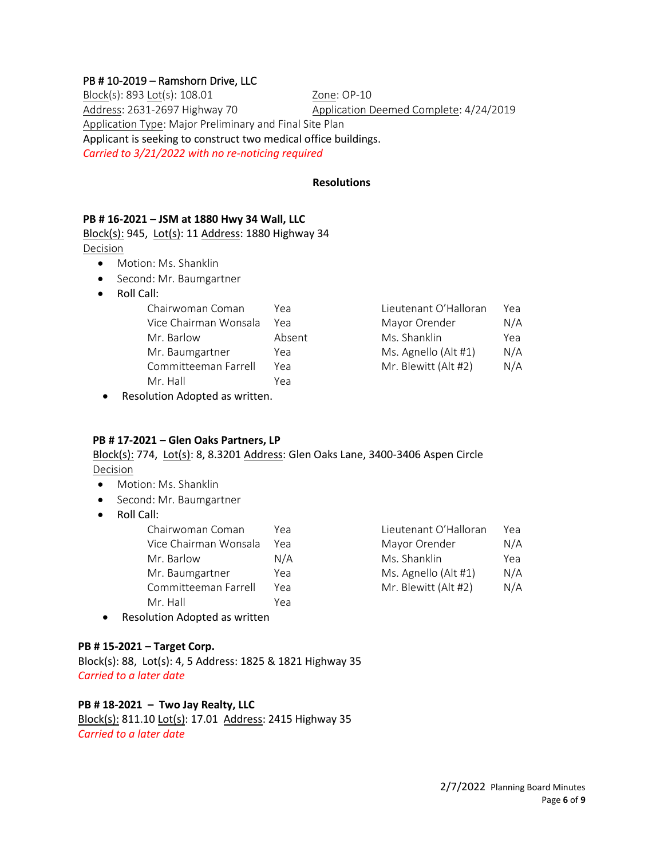## PB # 10-2019 – Ramshorn Drive, LLC

Block(s): 893 Lot(s): 108.01 20ne: 0P-10 Address: 2631-2697 Highway 70 Application Deemed Complete: 4/24/2019 Application Type: Major Preliminary and Final Site Plan Applicant is seeking to construct two medical office buildings. *Carried to 3/21/2022 with no re-noticing required*

#### **Resolutions**

#### **PB # 16-2021 – JSM at 1880 Hwy 34 Wall, LLC**

Block(s): 945, Lot(s): 11 Address: 1880 Highway 34 Decision

- Motion: Ms. Shanklin
- Second: Mr. Baumgartner
- Roll Call:

| Chairwoman Coman      | Yea    | Lieutenant O'Halloran | Yea |
|-----------------------|--------|-----------------------|-----|
| Vice Chairman Wonsala | Yea    | Mayor Orender         | N/A |
| Mr. Barlow            | Absent | Ms. Shanklin          | Yea |
| Mr. Baumgartner       | Yea    | Ms. Agnello (Alt #1)  | N/A |
| Committeeman Farrell  | Yea    | Mr. Blewitt (Alt #2)  | N/A |
| Mr. Hall              | Yea    |                       |     |

• Resolution Adopted as written.

# **PB # 17-2021 – Glen Oaks Partners, LP**

# Block(s): 774, Lot(s): 8, 8.3201 Address: Glen Oaks Lane, 3400-3406 Aspen Circle Decision

- Motion: Ms. Shanklin
- Second: Mr. Baumgartner
- Roll Call:

| Chairwoman Coman      | Үеа | Lieutenant O'Halloran | Yea |
|-----------------------|-----|-----------------------|-----|
| Vice Chairman Wonsala | Үеа | Mayor Orender         | N/A |
| Mr. Barlow            | N/A | Ms. Shanklin          | Yea |
| Mr. Baumgartner       | Yea | Ms. Agnello (Alt #1)  | N/A |
| Committeeman Farrell  | Yea | Mr. Blewitt (Alt #2)  | N/A |
| Mr. Hall              | Yea |                       |     |
|                       |     |                       |     |

| Lieutenant O'Halloran | Yea |
|-----------------------|-----|
| Mayor Orender         | N/A |
| Ms. Shanklin          | Yea |
| Ms. Agnello (Alt #1)  | N/A |
| Mr. Blewitt (Alt #2)  | N/A |

• Resolution Adopted as written

## **PB # 15-2021 – Target Corp.**

Block(s): 88, Lot(s): 4, 5 Address: 1825 & 1821 Highway 35 *Carried to a later date*

## **PB # 18-2021 – Two Jay Realty, LLC**

Block(s): 811.10 Lot(s): 17.01 Address: 2415 Highway 35 *Carried to a later date*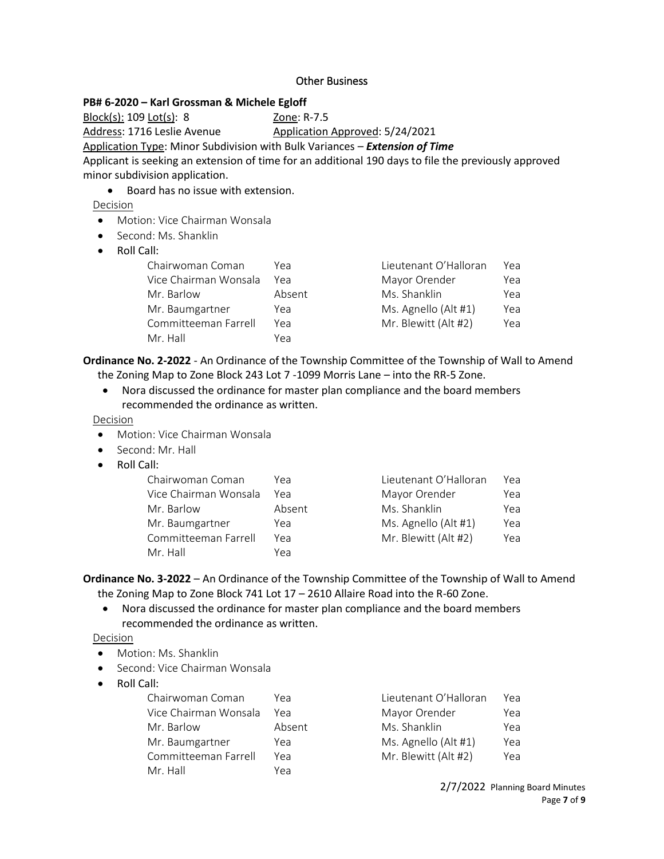## Other Business

## **PB# 6-2020 – Karl Grossman & Michele Egloff**

<u>Block(s):</u> 109 <u>Lot(s)</u>: 8 20ne: R-7.5 Address: 1716 Leslie Avenue Application Approved: 5/24/2021 Application Type: Minor Subdivision with Bulk Variances – *Extension of Time* Applicant is seeking an extension of time for an additional 190 days to file the previously approved minor subdivision application.

• Board has no issue with extension.

Decision

- Motion: Vice Chairman Wonsala
- Second: Ms. Shanklin
- Roll Call:

| Chairwoman Coman      | Үеа    | Lieutenant O'Halloran | Yea |
|-----------------------|--------|-----------------------|-----|
| Vice Chairman Wonsala | Үеа    | Mayor Orender         | Yea |
| Mr. Barlow            | Absent | Ms. Shanklin          | Yea |
| Mr. Baumgartner       | Yea    | Ms. Agnello (Alt #1)  | Yea |
| Committeeman Farrell  | Yea    | Mr. Blewitt (Alt #2)  | Yea |
| Mr. Hall              | Yea    |                       |     |

**Ordinance No. 2-2022** - An Ordinance of the Township Committee of the Township of Wall to Amend the Zoning Map to Zone Block 243 Lot 7 -1099 Morris Lane – into the RR-5 Zone.

• Nora discussed the ordinance for master plan compliance and the board members recommended the ordinance as written.

Decision

- Motion: Vice Chairman Wonsala
- Second: Mr. Hall
- Roll Call:

| Chairwoman Coman      | Үеа    | Lieutenant O'Halloran | Үеа |
|-----------------------|--------|-----------------------|-----|
| Vice Chairman Wonsala | Үеа    | Mayor Orender         | Yea |
| Mr. Barlow            | Absent | Ms. Shanklin          | Yea |
| Mr. Baumgartner       | Yea    | Ms. Agnello (Alt #1)  | Yea |
| Committeeman Farrell  | Yea    | Mr. Blewitt (Alt #2)  | Yea |
| Mr. Hall              | Yea    |                       |     |

**Ordinance No. 3-2022** – An Ordinance of the Township Committee of the Township of Wall to Amend the Zoning Map to Zone Block 741 Lot 17 – 2610 Allaire Road into the R-60 Zone.

• Nora discussed the ordinance for master plan compliance and the board members recommended the ordinance as written.

Decision

- Motion: Ms. Shanklin
- Second: Vice Chairman Wonsala
- Roll Call:

| Chairwoman Coman      | Үеа    | Lieutenant O'Halloran | Yea |
|-----------------------|--------|-----------------------|-----|
| Vice Chairman Wonsala | Үеа    | Mayor Orender         | Yea |
| Mr. Barlow            | Absent | Ms. Shanklin          | Yea |
| Mr. Baumgartner       | Yea    | Ms. Agnello (Alt #1)  | Yea |
| Committeeman Farrell  | Yea    | Mr. Blewitt (Alt #2)  | Yea |
| Mr. Hall              | Yea    |                       |     |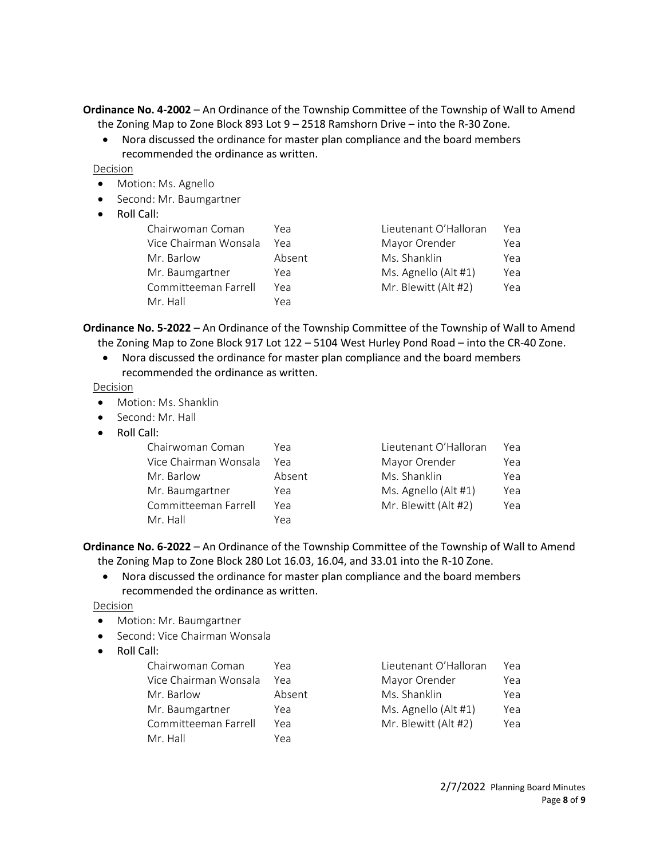**Ordinance No. 4-2002** – An Ordinance of the Township Committee of the Township of Wall to Amend the Zoning Map to Zone Block 893 Lot 9 – 2518 Ramshorn Drive – into the R-30 Zone.

• Nora discussed the ordinance for master plan compliance and the board members recommended the ordinance as written.

Decision

- Motion: Ms. Agnello
- Second: Mr. Baumgartner
- Roll Call:

| Chairwoman Coman      | Үеа    | Lieutenant O'Halloran | Yea |
|-----------------------|--------|-----------------------|-----|
| Vice Chairman Wonsala | Үеа    | Mayor Orender         | Yea |
| Mr. Barlow            | Absent | Ms. Shanklin          | Yea |
| Mr. Baumgartner       | Yea    | Ms. Agnello (Alt #1)  | Yea |
| Committeeman Farrell  | Yea    | Mr. Blewitt (Alt #2)  | Yea |
| Mr. Hall              | Yea    |                       |     |

**Ordinance No. 5-2022** – An Ordinance of the Township Committee of the Township of Wall to Amend the Zoning Map to Zone Block 917 Lot 122 – 5104 West Hurley Pond Road – into the CR-40 Zone.

• Nora discussed the ordinance for master plan compliance and the board members recommended the ordinance as written.

**Decision** 

- Motion: Ms. Shanklin
- Second: Mr. Hall
- Roll Call:

| Chairwoman Coman      | Yea    | Lieutenant O'Halloran | Yea |
|-----------------------|--------|-----------------------|-----|
| Vice Chairman Wonsala | Yea    | Mayor Orender         | Yea |
| Mr. Barlow            | Absent | Ms. Shanklin          | Yea |
| Mr. Baumgartner       | Yea    | Ms. Agnello (Alt #1)  | Yea |
| Committeeman Farrell  | Yea    | Mr. Blewitt (Alt #2)  | Yea |
| Mr. Hall              | Yea    |                       |     |

**Ordinance No. 6-2022** – An Ordinance of the Township Committee of the Township of Wall to Amend the Zoning Map to Zone Block 280 Lot 16.03, 16.04, and 33.01 into the R-10 Zone.

• Nora discussed the ordinance for master plan compliance and the board members recommended the ordinance as written.

Decision

- Motion: Mr. Baumgartner
- Second: Vice Chairman Wonsala
- Roll Call:

| Chairwoman Coman      | Үеа    | Lieutenant O'Halloran | Үеа |
|-----------------------|--------|-----------------------|-----|
| Vice Chairman Wonsala | Үеа    | Mayor Orender         | Yea |
| Mr. Barlow            | Absent | Ms. Shanklin          | Yea |
| Mr. Baumgartner       | Yea    | Ms. Agnello (Alt #1)  | Yea |
| Committeeman Farrell  | Yea    | Mr. Blewitt (Alt #2)  | Yea |
| Mr. Hall              | Yea    |                       |     |